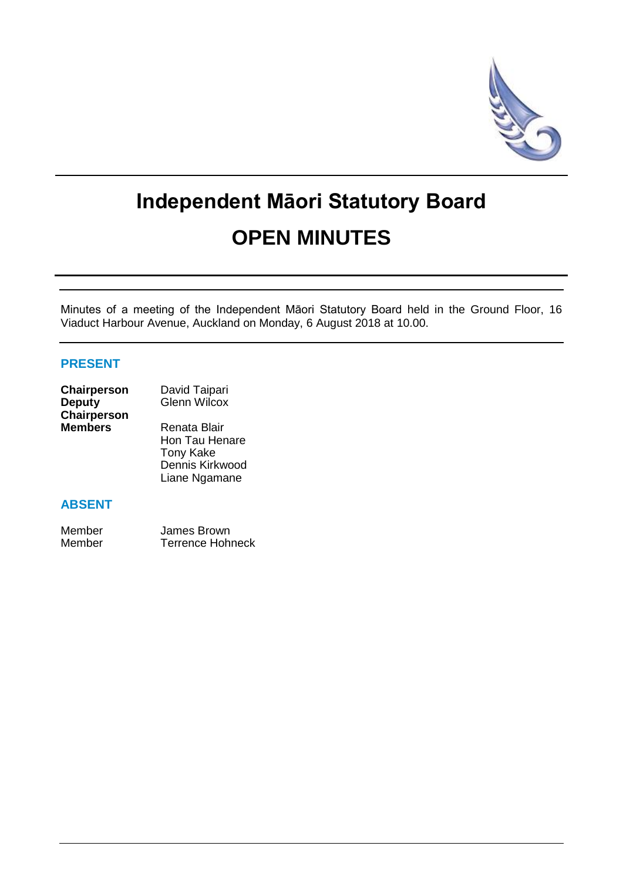

# **Independent Māori Statutory Board OPEN MINUTES**

Minutes of a meeting of the Independent Māori Statutory Board held in the Ground Floor, 16 Viaduct Harbour Avenue, Auckland on Monday, 6 August 2018 at 10.00.

# **PRESENT**

| Chairperson        | David Taipari       |
|--------------------|---------------------|
| <b>Deputy</b>      | <b>Glenn Wilcox</b> |
| <b>Chairperson</b> |                     |
| <b>Members</b>     | Renata Blair        |
|                    | Hon Tau Henare      |
|                    | <b>Tony Kake</b>    |
|                    | Dennis Kirkwood     |

# **ABSENT**

| Member | James Brown             |
|--------|-------------------------|
| Member | <b>Terrence Hohneck</b> |

Liane Ngamane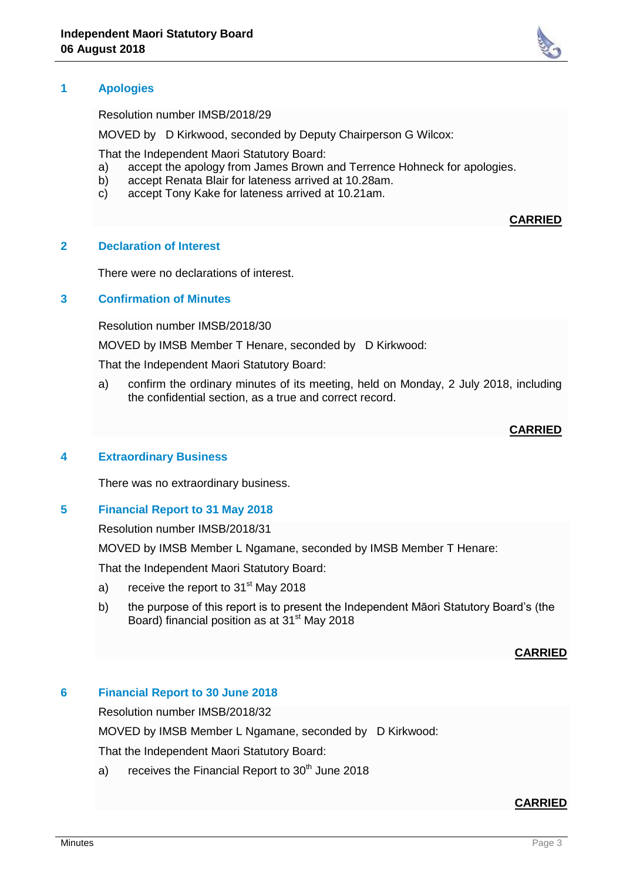# **1 Apologies**

Resolution number IMSB/2018/29

MOVED by D Kirkwood, seconded by Deputy Chairperson G Wilcox:

That the Independent Maori Statutory Board:

- a) accept the apology from James Brown and Terrence Hohneck for apologies.<br>b) accept Renata Blair for lateness arrived at 10.28am.
- accept Renata Blair for lateness arrived at 10.28am.
- c) accept Tony Kake for lateness arrived at 10.21am.

#### **2 Declaration of Interest**

There were no declarations of interest.

# **3 Confirmation of Minutes**

Resolution number IMSB/2018/30

MOVED by IMSB Member T Henare, seconded by D Kirkwood:

That the Independent Maori Statutory Board:

a) confirm the ordinary minutes of its meeting, held on Monday, 2 July 2018, including the confidential section, as a true and correct record.

#### **CARRIED**

**CARRIED**

#### **4 Extraordinary Business**

There was no extraordinary business.

#### **5 Financial Report to 31 May 2018**

Resolution number IMSB/2018/31

MOVED by IMSB Member L Ngamane, seconded by IMSB Member T Henare:

That the Independent Maori Statutory Board:

- a) receive the report to  $31<sup>st</sup>$  May 2018
- b) the purpose of this report is to present the Independent Māori Statutory Board's (the Board) financial position as at 31<sup>st</sup> May 2018

#### **CARRIED**

#### **6 Financial Report to 30 June 2018**

Resolution number IMSB/2018/32

MOVED by IMSB Member L Ngamane, seconded by D Kirkwood:

That the Independent Maori Statutory Board:

a) receives the Financial Report to  $30<sup>th</sup>$  June 2018

#### **CARRIED**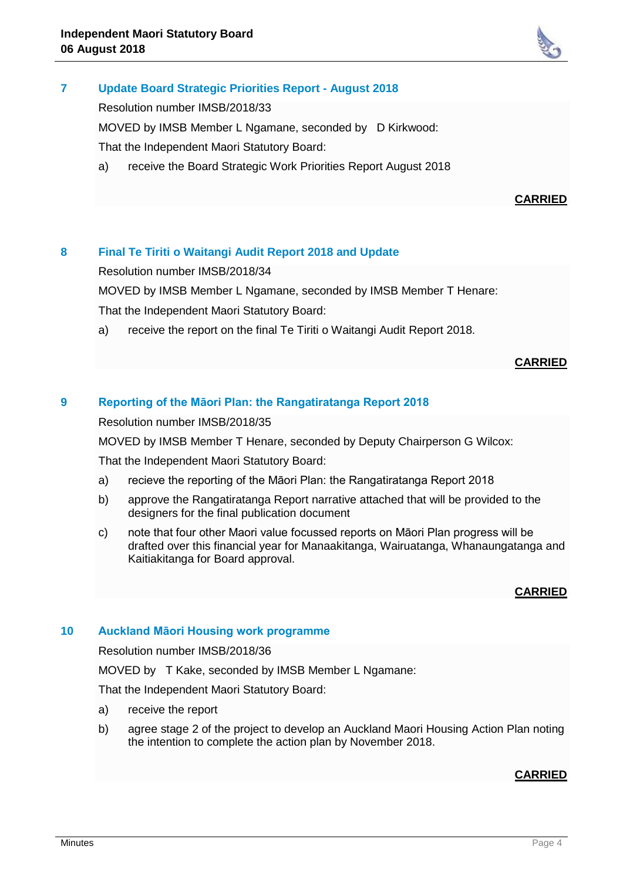

# **7 Update Board Strategic Priorities Report - August 2018**

Resolution number IMSB/2018/33

MOVED by IMSB Member L Ngamane, seconded by D Kirkwood: That the Independent Maori Statutory Board:

a) receive the Board Strategic Work Priorities Report August 2018

# **CARRIED**

# **8 Final Te Tiriti o Waitangi Audit Report 2018 and Update**

Resolution number IMSB/2018/34

MOVED by IMSB Member L Ngamane, seconded by IMSB Member T Henare:

That the Independent Maori Statutory Board:

a) receive the report on the final Te Tiriti o Waitangi Audit Report 2018.

#### **CARRIED**

# **9 Reporting of the Māori Plan: the Rangatiratanga Report 2018**

Resolution number IMSB/2018/35

MOVED by IMSB Member T Henare, seconded by Deputy Chairperson G Wilcox:

That the Independent Maori Statutory Board:

- a) recieve the reporting of the Māori Plan: the Rangatiratanga Report 2018
- b) approve the Rangatiratanga Report narrative attached that will be provided to the designers for the final publication document
- c) note that four other Maori value focussed reports on Māori Plan progress will be drafted over this financial year for Manaakitanga, Wairuatanga, Whanaungatanga and Kaitiakitanga for Board approval.

# **CARRIED**

#### **10 Auckland Māori Housing work programme**

Resolution number IMSB/2018/36

MOVED by T Kake, seconded by IMSB Member L Ngamane:

That the Independent Maori Statutory Board:

- a) receive the report
- b) agree stage 2 of the project to develop an Auckland Maori Housing Action Plan noting the intention to complete the action plan by November 2018.

# **CARRIED**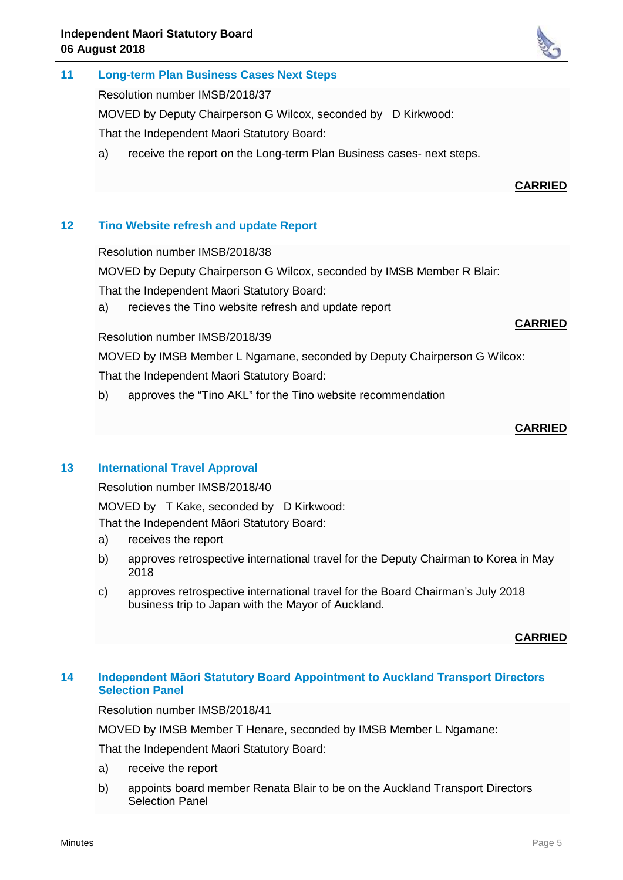# **11 Long-term Plan Business Cases Next Steps**

Resolution number IMSB/2018/37

MOVED by Deputy Chairperson G Wilcox, seconded by D Kirkwood:

That the Independent Maori Statutory Board:

a) receive the report on the Long-term Plan Business cases- next steps.

# **CARRIED**

# **12 Tino Website refresh and update Report**

Resolution number IMSB/2018/38

MOVED by Deputy Chairperson G Wilcox, seconded by IMSB Member R Blair:

That the Independent Maori Statutory Board:

a) recieves the Tino website refresh and update report

# Resolution number IMSB/2018/39

MOVED by IMSB Member L Ngamane, seconded by Deputy Chairperson G Wilcox: That the Independent Maori Statutory Board:

b) approves the "Tino AKL" for the Tino website recommendation

#### **CARRIED**

**CARRIED**

# **13 International Travel Approval**

Resolution number IMSB/2018/40

MOVED by T Kake, seconded by D Kirkwood:

That the Independent Māori Statutory Board:

- a) receives the report
- b) approves retrospective international travel for the Deputy Chairman to Korea in May 2018
- c) approves retrospective international travel for the Board Chairman's July 2018 business trip to Japan with the Mayor of Auckland.

# **CARRIED**

# **14 Independent Māori Statutory Board Appointment to Auckland Transport Directors Selection Panel**

Resolution number IMSB/2018/41

MOVED by IMSB Member T Henare, seconded by IMSB Member L Ngamane:

That the Independent Maori Statutory Board:

- a) receive the report
- b) appoints board member Renata Blair to be on the Auckland Transport Directors Selection Panel